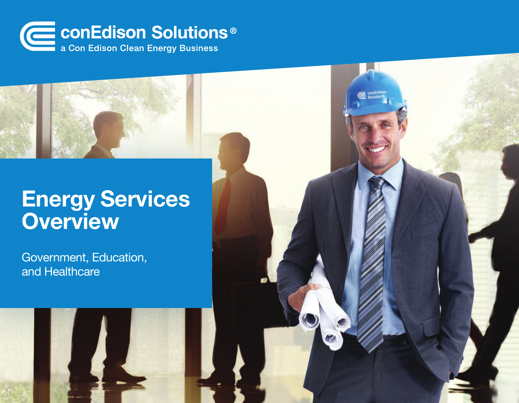

# Energy Services **Overview**

Government, Education, and Healthcare

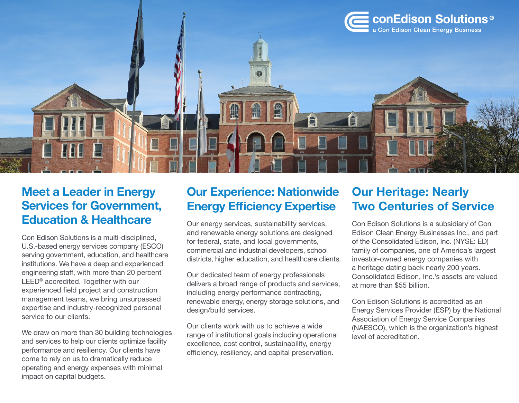

## Meet a Leader in Energy Services for Government, Education & Healthcare

Con Edison Solutions is a multi-disciplined, U.S.-based energy services company (ESCO) serving government, education, and healthcare institutions. We have a deep and experienced engineering staff, with more than 20 percent LEED<sup>®</sup> accredited. Together with our experienced field project and construction management teams, we bring unsurpassed expertise and industry-recognized personal service to our clients.

We draw on more than 30 building technologies and services to help our clients optimize facility performance and resiliency. Our clients have come to rely on us to dramatically reduce operating and energy expenses with minimal impact on capital budgets.

## Our Experience: Nationwide Energy Efficiency Expertise

Our energy services, sustainability services, and renewable energy solutions are designed for federal, state, and local governments, commercial and industrial developers, school districts, higher education, and healthcare clients.

Our dedicated team of energy professionals delivers a broad range of products and services, including energy performance contracting, renewable energy, energy storage solutions, and design/build services.

Our clients work with us to achieve a wide range of institutional goals including operational excellence, cost control, sustainability, energy efficiency, resiliency, and capital preservation.

# Our Heritage: Nearly Two Centuries of Service

Con Edison Solutions is a subsidiary of Con Edison Clean Energy Businesses Inc., and part of the Consolidated Edison, Inc. (NYSE: ED) family of companies, one of America's largest investor-owned energy companies with a heritage dating back nearly 200 years. Consolidated Edison, Inc.'s assets are valued at more than \$55 billion.

Con Edison Solutions is accredited as an Energy Services Provider (ESP) by the National Association of Energy Service Companies (NAESCO), which is the organization's highest level of accreditation.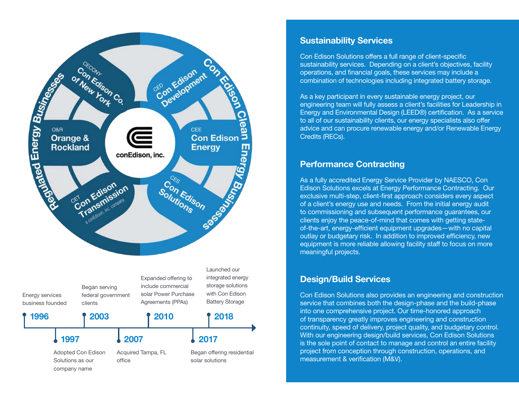

## Sustainability Services

Con Edison Solutions offers a full range of client-specific sustainability services. Depending on a client's objectives, facility operations, and financial goals, these services may include a combination of technologies including integrated battery storage.

As a key participant in every sustainable energy project, our engineering team will fully assess a client's facilities for Leadership in Energy and Environmental Design (LEED®) certification. As a service to all of our sustainability clients, our energy specialists also offer advice and can procure renewable energy and/or Renewable Energy Credits (RECs).

#### Performance Contracting

As a fully accredited Energy Service Provider by NAESCO, Con Edison Solutions excels at Energy Performance Contracting. Our exclusive multi-step, client-first approach considers every aspect of a client's energy use and needs. From the initial energy audit to commissioning and subsequent performance guarantees, our clients enjoy the peace-of-mind that comes with getting stateof-the-art, energy-efficient equipment upgrades—with no capital outlay or budgetary risk. In addition to improved efficiency, new equipment is more reliable allowing facility staff to focus on more meaningful projects.

### Design/Build Services

Con Edison Solutions also provides an engineering and construction service that combines both the design-phase and the build-phase into one comprehensive project. Our time-honored approach of transparency greatly improves engineering and construction continuity, speed of delivery, project quality, and budgetary control. With our engineering design/build services, Con Edison Solutions is the sole point of contact to manage and control an entire facility project from conception through construction, operations, and measurement & verification (M&V).